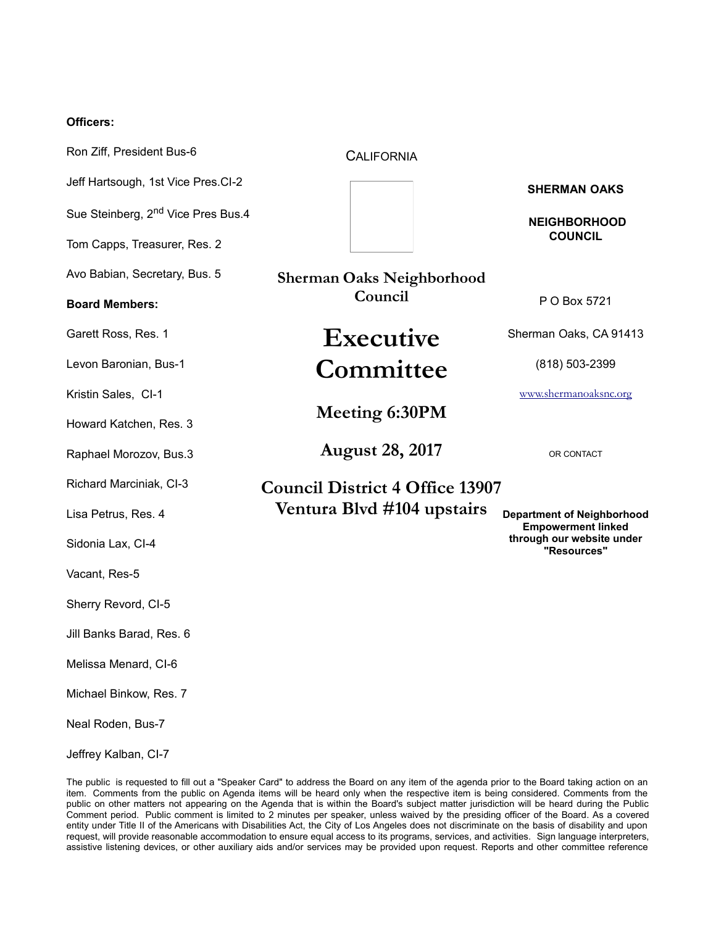#### **Officers:**

Ron Ziff, President Bus-6 Jeff Hartsough, 1st Vice Pres.CI-2 Sue Steinberg, 2<sup>nd</sup> Vice Pres Bus.4 Tom Capps, Treasurer, Res. 2 Avo Babian, Secretary, Bus. 5 **Board Members:** Garett Ross, Res. 1 Levon Baronian, Bus-1 Kristin Sales, CI-1 Howard Katchen, Res. 3 Raphael Morozov, Bus.3 Richard Marciniak, CI-3 Lisa Petrus, Res. 4 Sidonia Lax, CI-4 Vacant, Res-5 Sherry Revord, CI-5 Jill Banks Barad, Res. 6 Melissa Menard, CI-6 Michael Binkow, Res. 7 Neal Roden, Bus-7 Jeffrey Kalban, CI-7 **CALIFORNIA SHERMAN OAKS NEIGHBORHOOD COUNCIL** P O Box 5721 Sherman Oaks, CA 91413 (818) 503-2399 [www.shermanoaksnc.org](http://www.shermanoaksnc.org/) OR CONTACT **Department of Neighborhood Empowerment linked through our website under "Resources" Sherman Oaks Neighborhood Council Executive Committee Meeting 6:30PM August 28, 2017 Council District 4 Office 13907 Ventura Blvd #104 upstairs**

The public is requested to fill out a "Speaker Card" to address the Board on any item of the agenda prior to the Board taking action on an item. Comments from the public on Agenda items will be heard only when the respective item is being considered. Comments from the public on other matters not appearing on the Agenda that is within the Board's subject matter jurisdiction will be heard during the Public Comment period. Public comment is limited to 2 minutes per speaker, unless waived by the presiding officer of the Board. As a covered entity under Title II of the Americans with Disabilities Act, the City of Los Angeles does not discriminate on the basis of disability and upon request, will provide reasonable accommodation to ensure equal access to its programs, services, and activities. Sign language interpreters, assistive listening devices, or other auxiliary aids and/or services may be provided upon request. Reports and other committee reference